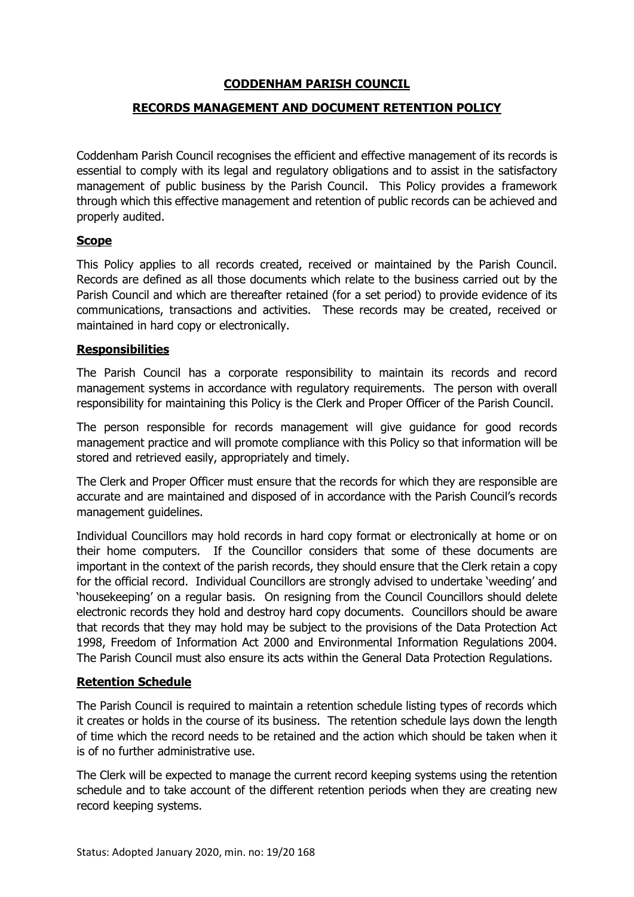# **CODDENHAM PARISH COUNCIL**

# **RECORDS MANAGEMENT AND DOCUMENT RETENTION POLICY**

Coddenham Parish Council recognises the efficient and effective management of its records is essential to comply with its legal and regulatory obligations and to assist in the satisfactory management of public business by the Parish Council. This Policy provides a framework through which this effective management and retention of public records can be achieved and properly audited.

## **Scope**

This Policy applies to all records created, received or maintained by the Parish Council. Records are defined as all those documents which relate to the business carried out by the Parish Council and which are thereafter retained (for a set period) to provide evidence of its communications, transactions and activities. These records may be created, received or maintained in hard copy or electronically.

#### **Responsibilities**

The Parish Council has a corporate responsibility to maintain its records and record management systems in accordance with regulatory requirements. The person with overall responsibility for maintaining this Policy is the Clerk and Proper Officer of the Parish Council.

The person responsible for records management will give guidance for good records management practice and will promote compliance with this Policy so that information will be stored and retrieved easily, appropriately and timely.

The Clerk and Proper Officer must ensure that the records for which they are responsible are accurate and are maintained and disposed of in accordance with the Parish Council's records management guidelines.

Individual Councillors may hold records in hard copy format or electronically at home or on their home computers. If the Councillor considers that some of these documents are important in the context of the parish records, they should ensure that the Clerk retain a copy for the official record. Individual Councillors are strongly advised to undertake 'weeding' and 'housekeeping' on a regular basis. On resigning from the Council Councillors should delete electronic records they hold and destroy hard copy documents. Councillors should be aware that records that they may hold may be subject to the provisions of the Data Protection Act 1998, Freedom of Information Act 2000 and Environmental Information Regulations 2004. The Parish Council must also ensure its acts within the General Data Protection Regulations.

## **Retention Schedule**

The Parish Council is required to maintain a retention schedule listing types of records which it creates or holds in the course of its business. The retention schedule lays down the length of time which the record needs to be retained and the action which should be taken when it is of no further administrative use.

The Clerk will be expected to manage the current record keeping systems using the retention schedule and to take account of the different retention periods when they are creating new record keeping systems.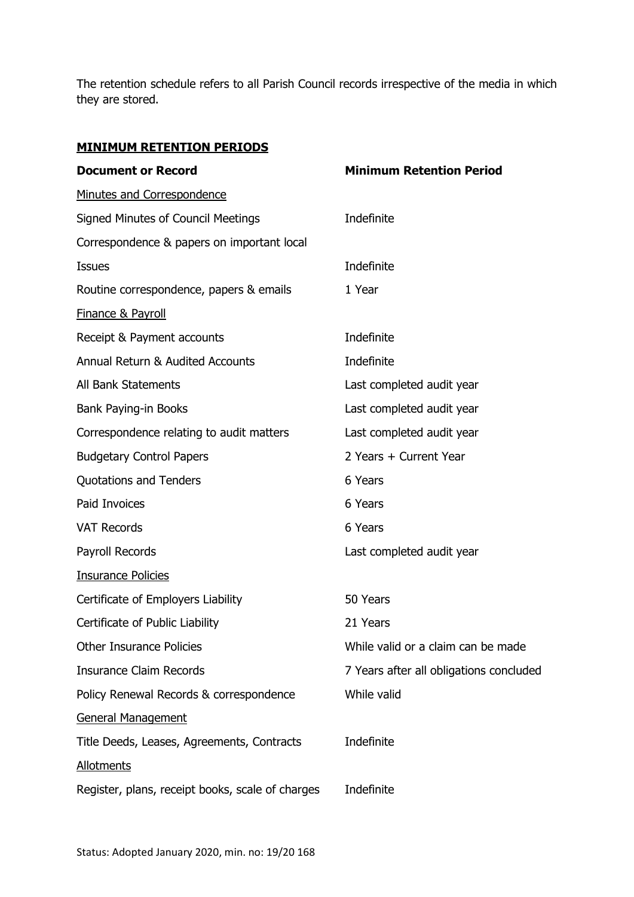The retention schedule refers to all Parish Council records irrespective of the media in which they are stored.

# **MINIMUM RETENTION PERIODS**

| <b>Document or Record</b>                        | <b>Minimum Retention Period</b>         |
|--------------------------------------------------|-----------------------------------------|
| Minutes and Correspondence                       |                                         |
| <b>Signed Minutes of Council Meetings</b>        | Indefinite                              |
| Correspondence & papers on important local       |                                         |
| <b>Issues</b>                                    | Indefinite                              |
| Routine correspondence, papers & emails          | 1 Year                                  |
| <b>Finance &amp; Payroll</b>                     |                                         |
| Receipt & Payment accounts                       | Indefinite                              |
| Annual Return & Audited Accounts                 | Indefinite                              |
| All Bank Statements                              | Last completed audit year               |
| <b>Bank Paying-in Books</b>                      | Last completed audit year               |
| Correspondence relating to audit matters         | Last completed audit year               |
| <b>Budgetary Control Papers</b>                  | 2 Years + Current Year                  |
| <b>Quotations and Tenders</b>                    | 6 Years                                 |
| <b>Paid Invoices</b>                             | 6 Years                                 |
| <b>VAT Records</b>                               | 6 Years                                 |
| Payroll Records                                  | Last completed audit year               |
| <b>Insurance Policies</b>                        |                                         |
| Certificate of Employers Liability               | 50 Years                                |
| Certificate of Public Liability                  | 21 Years                                |
| <b>Other Insurance Policies</b>                  | While valid or a claim can be made      |
| <b>Insurance Claim Records</b>                   | 7 Years after all obligations concluded |
| Policy Renewal Records & correspondence          | While valid                             |
| <b>General Management</b>                        |                                         |
| Title Deeds, Leases, Agreements, Contracts       | Indefinite                              |
| <b>Allotments</b>                                |                                         |
| Register, plans, receipt books, scale of charges | Indefinite                              |